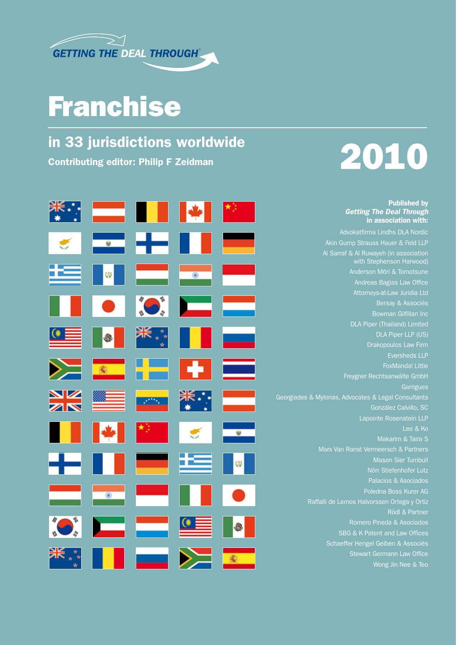

## Franchise

## in 33 jurisdictions worldwide  $\sim$  2010  $\sim$  2010  $\sim$  2010  $\sim$  2010  $\sim$  2010  $\sim$  2010  $\sim$



#### Published by *Getting The Deal Through* in association with:

Advokatfirma Lindhs DLA Nordic Akin Gump Strauss Hauer & Feld LLP Al Sarraf & Al Ruwayeh (in association with Stephenson Harwood) Andreas Bagias Law Office Attorneys-at-Law Juridia Ltd Bersay & Associés DLA Piper (Thailand) Limited DLA Piper LLP (US) Drakopoulos Law Firm Eversheds LLP FoxMandal Little Freygner Rechtsanwälte GmbH **Garrigues** Georgiades & Mylonas, Advocates & Legal Consultants González Calvillo, SC Lapointe Rosenstein LLP Lee & Ko Marx Van Ranst Vermeersch & Partners Mason Sier Turnbull Palacios & Asociados Poledna Boss Kurer AG Raffalli de Lemos Halvorssen Ortega y Ortiz Romero Pineda & Asociados SBG & K Patent and Law Offices Schaeffer Hengel Geiben & Associés Stewart Germann Law Office

Wong Jin Nee & Teo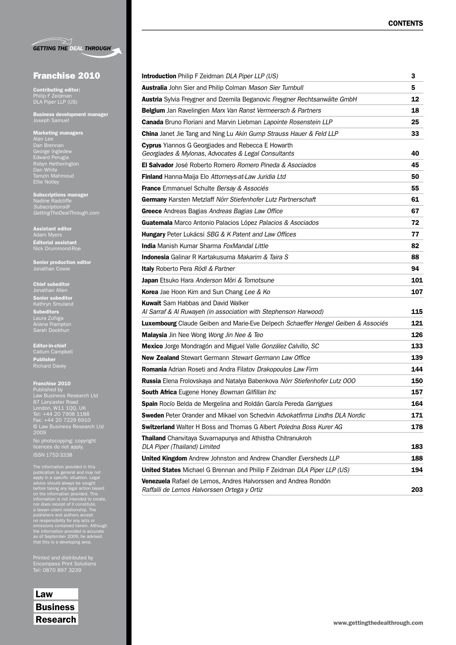|  | <b>GETTING THE DEAL THROUGH</b> |
|--|---------------------------------|

### Franchise 2010

Contributing editor: Philip F Zeidman DLA Piper LLP (US)

Business development manager Joseph Samuel

#### Marketing managers

Dan Brennan George Ingledew Edward Perugia Robyn Hetherington Dan White Tamzin Mahmoud Ellie Notley

Subscriptions manager Nadine Radcliffe *GettingTheDealThrough.com*

Assistant editor Adam Myers Editorial assistant Nick Drummond-Roe

Senior production editor Jonathan Cowie

#### Chief subeditor

Senior subeditor Kathryn Smuland Subeditors Laura Zúñiga Sarah Dookhun

Editor-in-chief Callum Campbell Publisher Richard Davey

#### Franchise 2010

Published by Law Business Research Ltd 87 Lancaster Road London, W11 1QQ, UK Tel: +44 20 7908 1188 Fax: +44 20 7229 6910 2009

No photocopying: copyright licences do not apply. ISSN 1752-3338

The information provided in this<br>publication is general and may not<br>apply in a specific situation. Legal<br>advice should always be sought<br>before taking any legal action based<br>on the information provided. This<br>information is

Printed and distributed by Encompass Print Solutions Tel: 0870 897 3239

Law **Business** 

| <b>Introduction</b> Philip F Zeidman DLA Piper LLP (US)                                                              | З   |  |
|----------------------------------------------------------------------------------------------------------------------|-----|--|
| <b>Australia</b> John Sier and Philip Colman Mason Sier Turnbull                                                     | 5   |  |
| Austria Sylvia Freygner and Dzemila Beganovic Freygner Rechtsanwälte GmbH                                            |     |  |
| Belgium Jan Ravelingien Marx Van Ranst Vermeersch & Partners                                                         | 18  |  |
| Canada Bruno Floriani and Marvin Liebman Lapointe Rosenstein LLP                                                     | 25  |  |
| <b>China</b> Janet Jie Tang and Ning Lu Akin Gump Strauss Hauer & Feld LLP                                           | 33  |  |
| <b>Cyprus</b> Yiannos G Georgiades and Rebecca E Howarth<br>Georgiades & Mylonas, Advocates & Legal Consultants      | 40  |  |
| <b>El Salvador</b> José Roberto Romero Romero Pineda & Asociados                                                     | 45  |  |
| Finland Hanna-Maija Elo Attorneys-at-Law Juridia Ltd                                                                 | 50  |  |
| <b>France</b> Emmanuel Schulte Bersay & Associés                                                                     | 55  |  |
| Germany Karsten Metzlaff Nörr Stiefenhofer Lutz Partnerschaft                                                        | 61  |  |
| Greece Andreas Bagias Andreas Bagias Law Office                                                                      | 67  |  |
| Guatemala Marco Antonio Palacios López Palacios & Asociados                                                          | 72  |  |
| <b>Hungary</b> Peter Lukácsi SBG & K Patent and Law Offices                                                          | 77  |  |
| <b>India</b> Manish Kumar Sharma FoxMandal Little                                                                    | 82  |  |
| <b>Indonesia</b> Galinar R Kartakusuma Makarim & Taira S                                                             | 88  |  |
| <b>Italy</b> Roberto Pera Rödl & Partner                                                                             | 94  |  |
| <b>Japan</b> Etsuko Hara Anderson Mōri & Tomotsune                                                                   | 101 |  |
| <b>Korea</b> Jae Hoon Kim and Sun Chang Lee & Ko                                                                     | 107 |  |
| <b>Kuwait</b> Sam Habbas and David Walker<br>Al Sarraf & Al Ruwayeh (in association with Stephenson Harwood)         | 115 |  |
| <b>Luxembourg</b> Claude Geiben and Marie-Eve Delpech Schaeffer Hengel Geiben & Associés                             | 121 |  |
| <b>Malaysia</b> Jin Nee Wong Wong Jin Nee & Teo                                                                      | 126 |  |
| Mexico Jorge Mondragón and Miguel Valle González Calvillo, SC                                                        | 133 |  |
| <b>New Zealand</b> Stewart Germann Stewart Germann Law Office                                                        | 139 |  |
| <b>Romania</b> Adrian Roseti and Andra Filatov Drakopoulos Law Firm                                                  | 144 |  |
| <b>Russia</b> Elena Frolovskaya and Natalya Babenkova Nörr Stiefenhofer Lutz 000                                     | 150 |  |
| <b>South Africa</b> Eugene Honey Bowman Gilfillan Inc                                                                | 157 |  |
| Spain Rocío Belda de Mergelina and Roldán García Pereda Garrigues                                                    | 164 |  |
| <b>Sweden</b> Peter Orander and Mikael von Schedvin Advokatfirma Lindhs DLA Nordic                                   | 171 |  |
| <b>Switzerland</b> Walter H Boss and Thomas G Albert <i>Poledna Boss Kurer AG</i>                                    | 178 |  |
| Thailand Chanvitaya Suvarnapunya and Athistha Chitranukroh<br>DLA Piper (Thailand) Limited                           | 183 |  |
| <b>United Kingdom</b> Andrew Johnston and Andrew Chandler Eversheds LLP                                              | 188 |  |
| <b>United States</b> Michael G Brennan and Philip F Zeidman DLA Piper LLP (US)                                       | 194 |  |
| <b>Venezuela</b> Rafael de Lemos, Andres Halvorssen and Andrea Rondón<br>Raffalli de Lemos Halvorssen Ortega y Ortiz | 203 |  |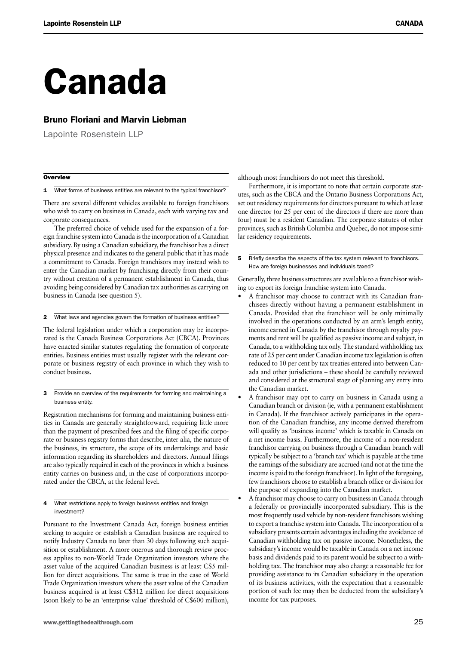# Canada

#### Bruno Floriani and Marvin Liebman

Lapointe Rosenstein LLP

#### **Overview**

1 What forms of business entities are relevant to the typical franchisor?

There are several different vehicles available to foreign franchisors who wish to carry on business in Canada, each with varying tax and corporate consequences.

The preferred choice of vehicle used for the expansion of a foreign franchise system into Canada is the incorporation of a Canadian subsidiary. By using a Canadian subsidiary, the franchisor has a direct physical presence and indicates to the general public that it has made a commitment to Canada. Foreign franchisors may instead wish to enter the Canadian market by franchising directly from their country without creation of a permanent establishment in Canada, thus avoiding being considered by Canadian tax authorities as carrying on business in Canada (see question 5).

2 What laws and agencies govern the formation of business entities?

The federal legislation under which a corporation may be incorporated is the Canada Business Corporations Act (CBCA). Provinces have enacted similar statutes regulating the formation of corporate entities. Business entities must usually register with the relevant corporate or business registry of each province in which they wish to conduct business.

**3** Provide an overview of the requirements for forming and maintaining a business entity.

Registration mechanisms for forming and maintaining business entities in Canada are generally straightforward, requiring little more than the payment of prescribed fees and the filing of specific corporate or business registry forms that describe, inter alia, the nature of the business, its structure, the scope of its undertakings and basic information regarding its shareholders and directors. Annual filings are also typically required in each of the provinces in which a business entity carries on business and, in the case of corporations incorporated under the CBCA, at the federal level.

#### 4 What restrictions apply to foreign business entities and foreign investment?

Pursuant to the Investment Canada Act, foreign business entities seeking to acquire or establish a Canadian business are required to notify Industry Canada no later than 30 days following such acquisition or establishment. A more onerous and thorough review process applies to non-World Trade Organization investors where the asset value of the acquired Canadian business is at least C\$5 million for direct acquisitions. The same is true in the case of World Trade Organization investors where the asset value of the Canadian business acquired is at least C\$312 million for direct acquisitions (soon likely to be an 'enterprise value' threshold of C\$600 million),

although most franchisors do not meet this threshold.

Furthermore, it is important to note that certain corporate statutes, such as the CBCA and the Ontario Business Corporations Act, set out residency requirements for directors pursuant to which at least one director (or 25 per cent of the directors if there are more than four) must be a resident Canadian. The corporate statutes of other provinces, such as British Columbia and Quebec, do not impose similar residency requirements.

**5** Briefly describe the aspects of the tax system relevant to franchisors. How are foreign businesses and individuals taxed?

Generally, three business structures are available to a franchisor wishing to export its foreign franchise system into Canada.

- A franchisor may choose to contract with its Canadian franchisees directly without having a permanent establishment in Canada. Provided that the franchisor will be only minimally involved in the operations conducted by an arm's length entity, income earned in Canada by the franchisor through royalty payments and rent will be qualified as passive income and subject, in Canada, to a withholding tax only. The standard withholding tax rate of 25 per cent under Canadian income tax legislation is often reduced to 10 per cent by tax treaties entered into between Canada and other jurisdictions – these should be carefully reviewed and considered at the structural stage of planning any entry into the Canadian market.
- A franchisor may opt to carry on business in Canada using a Canadian branch or division (ie, with a permanent establishment in Canada). If the franchisor actively participates in the operation of the Canadian franchise, any income derived therefrom will qualify as 'business income' which is taxable in Canada on a net income basis. Furthermore, the income of a non-resident franchisor carrying on business through a Canadian branch will typically be subject to a 'branch tax' which is payable at the time the earnings of the subsidiary are accrued (and not at the time the income is paid to the foreign franchisor). In light of the foregoing, few franchisors choose to establish a branch office or division for the purpose of expanding into the Canadian market.
- A franchisor may choose to carry on business in Canada through a federally or provincially incorporated subsidiary. This is the most frequently used vehicle by non-resident franchisors wishing to export a franchise system into Canada. The incorporation of a subsidiary presents certain advantages including the avoidance of Canadian withholding tax on passive income. Nonetheless, the subsidiary's income would be taxable in Canada on a net income basis and dividends paid to its parent would be subject to a withholding tax. The franchisor may also charge a reasonable fee for providing assistance to its Canadian subsidiary in the operation of its business activities, with the expectation that a reasonable portion of such fee may then be deducted from the subsidiary's income for tax purposes.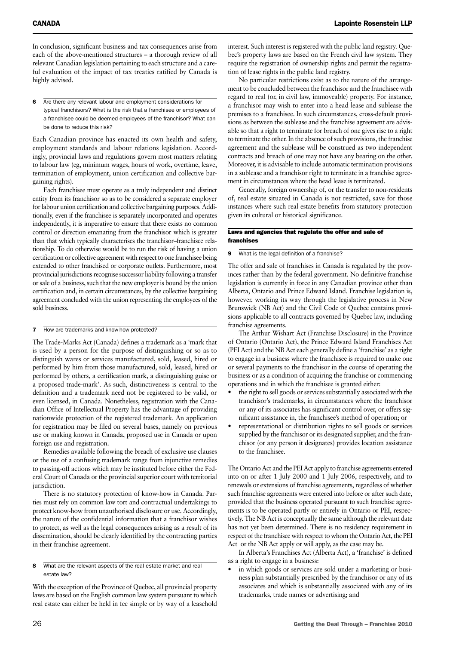In conclusion, significant business and tax consequences arise from each of the above-mentioned structures – a thorough review of all relevant Canadian legislation pertaining to each structure and a careful evaluation of the impact of tax treaties ratified by Canada is highly advised.

6 Are there any relevant labour and employment considerations for typical franchisors? What is the risk that a franchisee or employees of a franchisee could be deemed employees of the franchisor? What can be done to reduce this risk?

Each Canadian province has enacted its own health and safety, employment standards and labour relations legislation. Accordingly, provincial laws and regulations govern most matters relating to labour law (eg, minimum wages, hours of work, overtime, leave, termination of employment, union certification and collective bargaining rights).

Each franchisee must operate as a truly independent and distinct entity from its franchisor so as to be considered a separate employer for labour union certification and collective bargaining purposes. Additionally, even if the franchisee is separately incorporated and operates independently, it is imperative to ensure that there exists no common control or direction emanating from the franchisor which is greater than that which typically characterises the franchisor–franchisee relationship. To do otherwise would be to run the risk of having a union certification or collective agreement with respect to one franchisee being extended to other franchised or corporate outlets. Furthermore, most provincial jurisdictions recognise successor liability following a transfer or sale of a business, such that the new employer is bound by the union certification and, in certain circumstances, by the collective bargaining agreement concluded with the union representing the employees of the sold business.

#### 7 How are trademarks and know-how protected?

The Trade-Marks Act (Canada) defines a trademark as a 'mark that is used by a person for the purpose of distinguishing or so as to distinguish wares or services manufactured, sold, leased, hired or performed by him from those manufactured, sold, leased, hired or performed by others, a certification mark, a distinguishing guise or a proposed trade-mark'. As such, distinctiveness is central to the definition and a trademark need not be registered to be valid, or even licensed, in Canada. Nonetheless, registration with the Canadian Office of Intellectual Property has the advantage of providing nationwide protection of the registered trademark. An application for registration may be filed on several bases, namely on previous use or making known in Canada, proposed use in Canada or upon foreign use and registration.

Remedies available following the breach of exclusive use clauses or the use of a confusing trademark range from injunctive remedies to passing-off actions which may be instituted before either the Federal Court of Canada or the provincial superior court with territorial jurisdiction.

There is no statutory protection of know-how in Canada. Parties must rely on common law tort and contractual undertakings to protect know-how from unauthorised disclosure or use. Accordingly, the nature of the confidential information that a franchisor wishes to protect, as well as the legal consequences arising as a result of its dissemination, should be clearly identified by the contracting parties in their franchise agreement.

With the exception of the Province of Quebec, all provincial property laws are based on the English common law system pursuant to which real estate can either be held in fee simple or by way of a leasehold

interest. Such interest is registered with the public land registry. Quebec's property laws are based on the French civil law system. They require the registration of ownership rights and permit the registration of lease rights in the public land registry.

No particular restrictions exist as to the nature of the arrangement to be concluded between the franchisor and the franchisee with regard to real (or, in civil law, immoveable) property. For instance, a franchisor may wish to enter into a head lease and sublease the premises to a franchisee. In such circumstances, cross-default provisions as between the sublease and the franchise agreement are advisable so that a right to terminate for breach of one gives rise to a right to terminate the other. In the absence of such provisions, the franchise agreement and the sublease will be construed as two independent contracts and breach of one may not have any bearing on the other. Moreover, it is advisable to include automatic termination provisions in a sublease and a franchisor right to terminate in a franchise agreement in circumstances where the head lease is terminated.

Generally, foreign ownership of, or the transfer to non-residents of, real estate situated in Canada is not restricted, save for those instances where such real estate benefits from statutory protection given its cultural or historical significance.

#### Laws and agencies that regulate the offer and sale of franchises

9 What is the legal definition of a franchise?

The offer and sale of franchises in Canada is regulated by the provinces rather than by the federal government. No definitive franchise legislation is currently in force in any Canadian province other than Alberta, Ontario and Prince Edward Island. Franchise legislation is, however, working its way through the legislative process in New Brunswick (NB Act) and the Civil Code of Quebec contains provisions applicable to all contracts governed by Quebec law, including franchise agreements.

The Arthur Wishart Act (Franchise Disclosure) in the Province of Ontario (Ontario Act), the Prince Edward Island Franchises Act (PEI Act) and the NB Act each generally define a 'franchise' as a right to engage in a business where the franchisee is required to make one or several payments to the franchisor in the course of operating the business or as a condition of acquiring the franchise or commencing operations and in which the franchisee is granted either:

- the right to sell goods or services substantially associated with the franchisor's trademarks, in circumstances where the franchisor or any of its associates has significant control over, or offers significant assistance in, the franchisee's method of operation; or
- representational or distribution rights to sell goods or services supplied by the franchisor or its designated supplier, and the franchisor (or any person it designates) provides location assistance to the franchisee.

The Ontario Act and the PEI Act apply to franchise agreements entered into on or after 1 July 2000 and 1 July 2006, respectively, and to renewals or extensions of franchise agreements, regardless of whether such franchise agreements were entered into before or after such date, provided that the business operated pursuant to such franchise agreements is to be operated partly or entirely in Ontario or PEI, respectively. The NB Act is conceptually the same although the relevant date has not yet been determined. There is no residency requirement in respect of the franchisee with respect to whom the Ontario Act, the PEI Act or the NB Act apply or will apply, as the case may be.

In Alberta's Franchises Act (Alberta Act), a 'franchise' is defined as a right to engage in a business:

• in which goods or services are sold under a marketing or business plan substantially prescribed by the franchisor or any of its associates and which is substantially associated with any of its trademarks, trade names or advertising; and

<sup>8</sup> What are the relevant aspects of the real estate market and real estate law?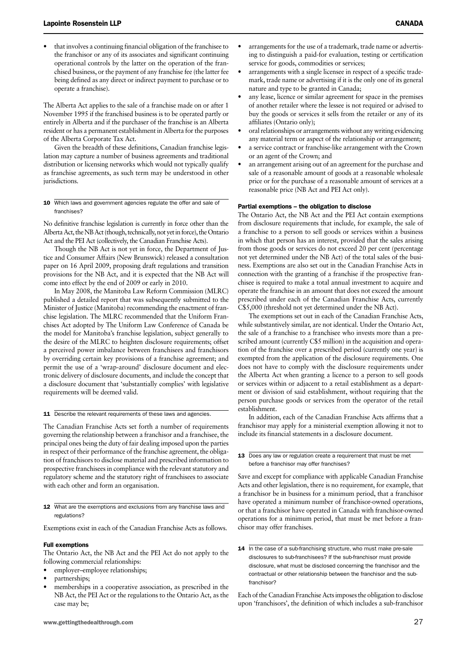• that involves a continuing financial obligation of the franchisee to the franchisor or any of its associates and significant continuing operational controls by the latter on the operation of the franchised business, or the payment of any franchise fee (the latter fee being defined as any direct or indirect payment to purchase or to operate a franchise).

The Alberta Act applies to the sale of a franchise made on or after 1 November 1995 if the franchised business is to be operated partly or entirely in Alberta and if the purchaser of the franchise is an Alberta resident or has a permanent establishment in Alberta for the purposes of the Alberta Corporate Tax Act.

Given the breadth of these definitions, Canadian franchise legislation may capture a number of business agreements and traditional distribution or licensing networks which would not typically qualify as franchise agreements, as such term may be understood in other jurisdictions.

#### 10 Which laws and government agencies regulate the offer and sale of franchises?

No definitive franchise legislation is currently in force other than the Alberta Act, the NB Act (though, technically, not yet in force), the Ontario Act and the PEI Act (collectively, the Canadian Franchise Acts).

Though the NB Act is not yet in force, the Department of Justice and Consumer Affairs (New Brunswick) released a consultation paper on 16 April 2009, proposing draft regulations and transition provisions for the NB Act, and it is expected that the NB Act will come into effect by the end of 2009 or early in 2010.

In May 2008, the Manitoba Law Reform Commission (MLRC) published a detailed report that was subsequently submitted to the Minister of Justice (Manitoba) recommending the enactment of franchise legislation. The MLRC recommended that the Uniform Franchises Act adopted by The Uniform Law Conference of Canada be the model for Manitoba's franchise legislation, subject generally to the desire of the MLRC to heighten disclosure requirements; offset a perceived power imbalance between franchisees and franchisors by overriding certain key provisions of a franchise agreement; and permit the use of a 'wrap-around' disclosure document and electronic delivery of disclosure documents, and include the concept that a disclosure document that 'substantially complies' with legislative requirements will be deemed valid.

11 Describe the relevant requirements of these laws and agencies.

The Canadian Franchise Acts set forth a number of requirements governing the relationship between a franchisor and a franchisee, the principal ones being the duty of fair dealing imposed upon the parties in respect of their performance of the franchise agreement, the obligation of franchisors to disclose material and prescribed information to prospective franchisees in compliance with the relevant statutory and regulatory scheme and the statutory right of franchisees to associate with each other and form an organisation.

#### 12 What are the exemptions and exclusions from any franchise laws and regulations?

Exemptions exist in each of the Canadian Franchise Acts as follows.

#### Full exemptions

The Ontario Act, the NB Act and the PEI Act do not apply to the following commercial relationships:

- employer-employee relationships;
- partnerships;
- memberships in a cooperative association, as prescribed in the NB Act, the PEI Act or the regulations to the Ontario Act, as the case may be;
- arrangements for the use of a trademark, trade name or advertising to distinguish a paid-for evaluation, testing or certification service for goods, commodities or services;
- arrangements with a single licensee in respect of a specific trademark, trade name or advertising if it is the only one of its general nature and type to be granted in Canada;
- any lease, licence or similar agreement for space in the premises of another retailer where the lessee is not required or advised to buy the goods or services it sells from the retailer or any of its affiliates (Ontario only);
- oral relationships or arrangements without any writing evidencing any material term or aspect of the relationship or arrangement;
- a service contract or franchise-like arrangement with the Crown or an agent of the Crown; and
- an arrangement arising out of an agreement for the purchase and sale of a reasonable amount of goods at a reasonable wholesale price or for the purchase of a reasonable amount of services at a reasonable price (NB Act and PEI Act only).

#### Partial exemptions – the obligation to disclose

The Ontario Act, the NB Act and the PEI Act contain exemptions from disclosure requirements that include, for example, the sale of a franchise to a person to sell goods or services within a business in which that person has an interest, provided that the sales arising from those goods or services do not exceed 20 per cent (percentage not yet determined under the NB Act) of the total sales of the business. Exemptions are also set out in the Canadian Franchise Acts in connection with the granting of a franchise if the prospective franchisee is required to make a total annual investment to acquire and operate the franchise in an amount that does not exceed the amount prescribed under each of the Canadian Franchise Acts, currently C\$5,000 (threshold not yet determined under the NB Act).

The exemptions set out in each of the Canadian Franchise Acts, while substantively similar, are not identical. Under the Ontario Act, the sale of a franchise to a franchisee who invests more than a prescribed amount (currently C\$5 million) in the acquisition and operation of the franchise over a prescribed period (currently one year) is exempted from the application of the disclosure requirements. One does not have to comply with the disclosure requirements under the Alberta Act when granting a licence to a person to sell goods or services within or adjacent to a retail establishment as a department or division of said establishment, without requiring that the person purchase goods or services from the operator of the retail establishment.

In addition, each of the Canadian Franchise Acts affirms that a franchisor may apply for a ministerial exemption allowing it not to include its financial statements in a disclosure document.

13 Does any law or regulation create a requirement that must be met before a franchisor may offer franchises?

Save and except for compliance with applicable Canadian Franchise Acts and other legislation, there is no requirement, for example, that a franchisor be in business for a minimum period, that a franchisor have operated a minimum number of franchisor-owned operations, or that a franchisor have operated in Canada with franchisor-owned operations for a minimum period, that must be met before a franchisor may offer franchises.

14 In the case of a sub-franchising structure, who must make pre-sale disclosures to sub-franchisees? If the sub-franchisor must provide disclosure, what must be disclosed concerning the franchisor and the contractual or other relationship between the franchisor and the subfranchisor?

Each of the Canadian Franchise Acts imposes the obligation to disclose upon 'franchisors', the definition of which includes a sub-franchisor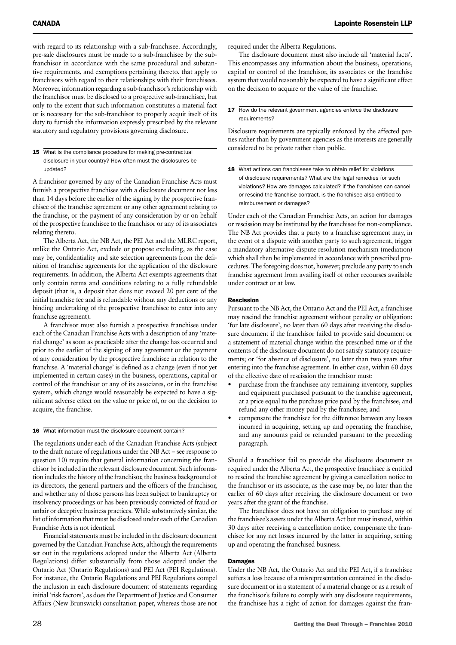with regard to its relationship with a sub-franchisee. Accordingly, pre-sale disclosures must be made to a sub-franchisee by the subfranchisor in accordance with the same procedural and substantive requirements, and exemptions pertaining thereto, that apply to franchisors with regard to their relationships with their franchisees. Moreover, information regarding a sub-franchisor's relationship with the franchisor must be disclosed to a prospective sub-franchisee, but only to the extent that such information constitutes a material fact or is necessary for the sub-franchisor to properly acquit itself of its duty to furnish the information expressly prescribed by the relevant statutory and regulatory provisions governing disclosure.

#### 15 What is the compliance procedure for making pre-contractual disclosure in your country? How often must the disclosures be updated?

A franchisor governed by any of the Canadian Franchise Acts must furnish a prospective franchisee with a disclosure document not less than 14 days before the earlier of the signing by the prospective franchisee of the franchise agreement or any other agreement relating to the franchise, or the payment of any consideration by or on behalf of the prospective franchisee to the franchisor or any of its associates relating thereto.

The Alberta Act, the NB Act, the PEI Act and the MLRC report, unlike the Ontario Act, exclude or propose excluding, as the case may be, confidentiality and site selection agreements from the definition of franchise agreements for the application of the disclosure requirements. In addition, the Alberta Act exempts agreements that only contain terms and conditions relating to a fully refundable deposit (that is, a deposit that does not exceed 20 per cent of the initial franchise fee and is refundable without any deductions or any binding undertaking of the prospective franchisee to enter into any franchise agreement).

A franchisor must also furnish a prospective franchisee under each of the Canadian Franchise Acts with a description of any 'material change' as soon as practicable after the change has occurred and prior to the earlier of the signing of any agreement or the payment of any consideration by the prospective franchisee in relation to the franchise. A 'material change' is defined as a change (even if not yet implemented in certain cases) in the business, operations, capital or control of the franchisor or any of its associates, or in the franchise system, which change would reasonably be expected to have a significant adverse effect on the value or price of, or on the decision to acquire, the franchise.

#### 16 What information must the disclosure document contain?

The regulations under each of the Canadian Franchise Acts (subject to the draft nature of regulations under the NB Act – see response to question 10) require that general information concerning the franchisor be included in the relevant disclosure document. Such information includes the history of the franchisor, the business background of its directors, the general partners and the officers of the franchisor, and whether any of those persons has been subject to bankruptcy or insolvency proceedings or has been previously convicted of fraud or unfair or deceptive business practices. While substantively similar, the list of information that must be disclosed under each of the Canadian Franchise Acts is not identical.

Financial statements must be included in the disclosure document governed by the Canadian Franchise Acts, although the requirements set out in the regulations adopted under the Alberta Act (Alberta Regulations) differ substantially from those adopted under the Ontario Act (Ontario Regulations) and PEI Act (PEI Regulations). For instance, the Ontario Regulations and PEI Regulations compel the inclusion in each disclosure document of statements regarding initial 'risk factors', as does the Department of Justice and Consumer Affairs (New Brunswick) consultation paper, whereas those are not required under the Alberta Regulations.

The disclosure document must also include all 'material facts'. This encompasses any information about the business, operations, capital or control of the franchisor, its associates or the franchise system that would reasonably be expected to have a significant effect on the decision to acquire or the value of the franchise.

#### 17 How do the relevant government agencies enforce the disclosure requirements?

Disclosure requirements are typically enforced by the affected parties rather than by government agencies as the interests are generally considered to be private rather than public.

18 What actions can franchisees take to obtain relief for violations of disclosure requirements? What are the legal remedies for such violations? How are damages calculated? If the franchisee can cancel or rescind the franchise contract, is the franchisee also entitled to reimbursement or damages?

Under each of the Canadian Franchise Acts, an action for damages or rescission may be instituted by the franchisee for non-compliance. The NB Act provides that a party to a franchise agreement may, in the event of a dispute with another party to such agreement, trigger a mandatory alternative dispute resolution mechanism (mediation) which shall then be implemented in accordance with prescribed procedures. The foregoing does not, however, preclude any party to such franchise agreement from availing itself of other recourses available under contract or at law.

#### Rescission

Pursuant to the NB Act, the Ontario Act and the PEI Act, a franchisee may rescind the franchise agreement without penalty or obligation: 'for late disclosure', no later than 60 days after receiving the disclosure document if the franchisor failed to provide said document or a statement of material change within the prescribed time or if the contents of the disclosure document do not satisfy statutory requirements; or 'for absence of disclosure', no later than two years after entering into the franchise agreement. In either case, within 60 days of the effective date of rescission the franchisor must:

- purchase from the franchisee any remaining inventory, supplies and equipment purchased pursuant to the franchise agreement, at a price equal to the purchase price paid by the franchisee, and refund any other money paid by the franchisee; and
- compensate the franchisee for the difference between any losses incurred in acquiring, setting up and operating the franchise, and any amounts paid or refunded pursuant to the preceding paragraph.

Should a franchisor fail to provide the disclosure document as required under the Alberta Act, the prospective franchisee is entitled to rescind the franchise agreement by giving a cancellation notice to the franchisor or its associate, as the case may be, no later than the earlier of 60 days after receiving the disclosure document or two years after the grant of the franchise.

The franchisor does not have an obligation to purchase any of the franchisee's assets under the Alberta Act but must instead, within 30 days after receiving a cancellation notice, compensate the franchisee for any net losses incurred by the latter in acquiring, setting up and operating the franchised business.

#### **Damages**

Under the NB Act, the Ontario Act and the PEI Act, if a franchisee suffers a loss because of a misrepresentation contained in the disclosure document or in a statement of a material change or as a result of the franchisor's failure to comply with any disclosure requirements, the franchisee has a right of action for damages against the fran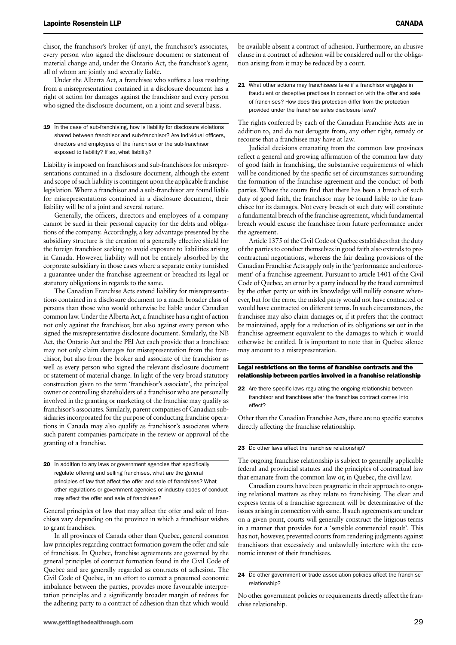chisor, the franchisor's broker (if any), the franchisor's associates, every person who signed the disclosure document or statement of material change and, under the Ontario Act, the franchisor's agent, all of whom are jointly and severally liable.

Under the Alberta Act, a franchisee who suffers a loss resulting from a misrepresentation contained in a disclosure document has a right of action for damages against the franchisor and every person who signed the disclosure document, on a joint and several basis.

19 In the case of sub-franchising, how is liability for disclosure violations shared between franchisor and sub-franchisor? Are individual officers directors and employees of the franchisor or the sub-franchisor exposed to liability? If so, what liability?

Liability is imposed on franchisors and sub-franchisors for misrepresentations contained in a disclosure document, although the extent and scope of such liability is contingent upon the applicable franchise legislation. Where a franchisor and a sub-franchisor are found liable for misrepresentations contained in a disclosure document, their liability will be of a joint and several nature.

Generally, the officers, directors and employees of a company cannot be sued in their personal capacity for the debts and obligations of the company. Accordingly, a key advantage presented by the subsidiary structure is the creation of a generally effective shield for the foreign franchisor seeking to avoid exposure to liabilities arising in Canada. However, liability will not be entirely absorbed by the corporate subsidiary in those cases where a separate entity furnished a guarantee under the franchise agreement or breached its legal or statutory obligations in regards to the same.

The Canadian Franchise Acts extend liability for misrepresentations contained in a disclosure document to a much broader class of persons than those who would otherwise be liable under Canadian common law. Under the Alberta Act, a franchisee has a right of action not only against the franchisor, but also against every person who signed the misrepresentative disclosure document. Similarly, the NB Act, the Ontario Act and the PEI Act each provide that a franchisee may not only claim damages for misrepresentation from the franchisor, but also from the broker and associate of the franchisor as well as every person who signed the relevant disclosure document or statement of material change. In light of the very broad statutory construction given to the term 'franchisor's associate', the principal owner or controlling shareholders of a franchisor who are personally involved in the granting or marketing of the franchise may qualify as franchisor's associates. Similarly, parent companies of Canadian subsidiaries incorporated for the purpose of conducting franchise operations in Canada may also qualify as franchisor's associates where such parent companies participate in the review or approval of the granting of a franchise.

20 In addition to any laws or government agencies that specifically regulate offering and selling franchises, what are the general principles of law that affect the offer and sale of franchises? What other regulations or government agencies or industry codes of conduct may affect the offer and sale of franchises?

General principles of law that may affect the offer and sale of franchises vary depending on the province in which a franchisor wishes to grant franchises.

In all provinces of Canada other than Quebec, general common law principles regarding contract formation govern the offer and sale of franchises. In Quebec, franchise agreements are governed by the general principles of contract formation found in the Civil Code of Quebec and are generally regarded as contracts of adhesion. The Civil Code of Quebec, in an effort to correct a presumed economic imbalance between the parties, provides more favourable interpretation principles and a significantly broader margin of redress for the adhering party to a contract of adhesion than that which would

be available absent a contract of adhesion. Furthermore, an abusive clause in a contract of adhesion will be considered null or the obligation arising from it may be reduced by a court.

21 What other actions may franchisees take if a franchisor engages in fraudulent or deceptive practices in connection with the offer and sale of franchises? How does this protection differ from the protection provided under the franchise sales disclosure laws?

The rights conferred by each of the Canadian Franchise Acts are in addition to, and do not derogate from, any other right, remedy or recourse that a franchisee may have at law.

Judicial decisions emanating from the common law provinces reflect a general and growing affirmation of the common law duty of good faith in franchising, the substantive requirements of which will be conditioned by the specific set of circumstances surrounding the formation of the franchise agreement and the conduct of both parties. Where the courts find that there has been a breach of such duty of good faith, the franchisor may be found liable to the franchisee for its damages. Not every breach of such duty will constitute a fundamental breach of the franchise agreement, which fundamental breach would excuse the franchisee from future performance under the agreement.

Article 1375 of the Civil Code of Quebec establishes that the duty of the parties to conduct themselves in good faith also extends to precontractual negotiations, whereas the fair dealing provisions of the Canadian Franchise Acts apply only in the 'performance and enforcement' of a franchise agreement. Pursuant to article 1401 of the Civil Code of Quebec, an error by a party induced by the fraud committed by the other party or with its knowledge will nullify consent whenever, but for the error, the misled party would not have contracted or would have contracted on different terms. In such circumstances, the franchisee may also claim damages or, if it prefers that the contract be maintained, apply for a reduction of its obligations set out in the franchise agreement equivalent to the damages to which it would otherwise be entitled. It is important to note that in Quebec silence may amount to a misrepresentation.

Legal restrictions on the terms of franchise contracts and the relationship between parties involved in a franchise relationship

22 Are there specific laws regulating the ongoing relationship between franchisor and franchisee after the franchise contract comes into effect?

Other than the Canadian Franchise Acts, there are no specific statutes directly affecting the franchise relationship.

#### 23 Do other laws affect the franchise relationship?

The ongoing franchise relationship is subject to generally applicable federal and provincial statutes and the principles of contractual law that emanate from the common law or, in Quebec, the civil law.

Canadian courts have been pragmatic in their approach to ongoing relational matters as they relate to franchising. The clear and express terms of a franchise agreement will be determinative of the issues arising in connection with same. If such agreements are unclear on a given point, courts will generally construct the litigious terms in a manner that provides for a 'sensible commercial result'. This has not, however, prevented courts from rendering judgments against franchisors that excessively and unlawfully interfere with the economic interest of their franchisees.

#### 24 Do other government or trade association policies affect the franchise relationship?

No other government policies or requirements directly affect the franchise relationship.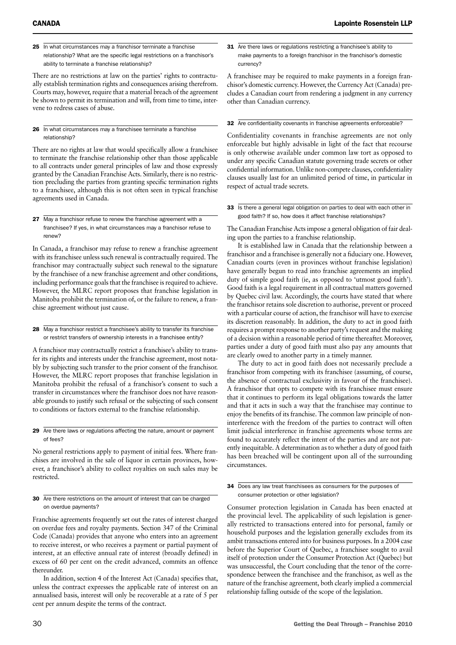25 In what circumstances may a franchisor terminate a franchise relationship? What are the specific legal restrictions on a franchisor's ability to terminate a franchise relationship?

There are no restrictions at law on the parties' rights to contractually establish termination rights and consequences arising therefrom. Courts may, however, require that a material breach of the agreement be shown to permit its termination and will, from time to time, intervene to redress cases of abuse.

26 In what circumstances may a franchisee terminate a franchise relationship?

There are no rights at law that would specifically allow a franchisee to terminate the franchise relationship other than those applicable to all contracts under general principles of law and those expressly granted by the Canadian Franchise Acts. Similarly, there is no restriction precluding the parties from granting specific termination rights to a franchisee, although this is not often seen in typical franchise agreements used in Canada.

27 May a franchisor refuse to renew the franchise agreement with a franchisee? If yes, in what circumstances may a franchisor refuse to renew?

In Canada, a franchisor may refuse to renew a franchise agreement with its franchisee unless such renewal is contractually required. The franchisor may contractually subject such renewal to the signature by the franchisee of a new franchise agreement and other conditions, including performance goals that the franchisee is required to achieve. However, the MLRC report proposes that franchise legislation in Manitoba prohibit the termination of, or the failure to renew, a franchise agreement without just cause.

28 May a franchisor restrict a franchisee's ability to transfer its franchise or restrict transfers of ownership interests in a franchisee entity?

A franchisor may contractually restrict a franchisee's ability to transfer its rights and interests under the franchise agreement, most notably by subjecting such transfer to the prior consent of the franchisor. However, the MLRC report proposes that franchise legislation in Manitoba prohibit the refusal of a franchisor's consent to such a transfer in circumstances where the franchisor does not have reasonable grounds to justify such refusal or the subjecting of such consent to conditions or factors external to the franchise relationship.

#### 29 Are there laws or regulations affecting the nature, amount or payment of fees?

No general restrictions apply to payment of initial fees. Where franchises are involved in the sale of liquor in certain provinces, however, a franchisor's ability to collect royalties on such sales may be restricted.

30 Are there restrictions on the amount of interest that can be charged on overdue payments?

Franchise agreements frequently set out the rates of interest charged on overdue fees and royalty payments. Section 347 of the Criminal Code (Canada) provides that anyone who enters into an agreement to receive interest, or who receives a payment or partial payment of interest, at an effective annual rate of interest (broadly defined) in excess of 60 per cent on the credit advanced, commits an offence thereunder.

In addition, section 4 of the Interest Act (Canada) specifies that, unless the contract expresses the applicable rate of interest on an annualised basis, interest will only be recoverable at a rate of 5 per cent per annum despite the terms of the contract.

31 Are there laws or regulations restricting a franchisee's ability to make payments to a foreign franchisor in the franchisor's domestic currency?

A franchisee may be required to make payments in a foreign franchisor's domestic currency. However, the Currency Act (Canada) precludes a Canadian court from rendering a judgment in any currency other than Canadian currency.

#### 32 Are confidentiality covenants in franchise agreements enforceable?

Confidentiality covenants in franchise agreements are not only enforceable but highly advisable in light of the fact that recourse is only otherwise available under common law tort as opposed to under any specific Canadian statute governing trade secrets or other confidential information. Unlike non-compete clauses, confidentiality clauses usually last for an unlimited period of time, in particular in respect of actual trade secrets.

33 Is there a general legal obligation on parties to deal with each other in good faith? If so, how does it affect franchise relationships?

The Canadian Franchise Acts impose a general obligation of fair dealing upon the parties to a franchise relationship.

It is established law in Canada that the relationship between a franchisor and a franchisee is generally not a fiduciary one. However, Canadian courts (even in provinces without franchise legislation) have generally begun to read into franchise agreements an implied duty of simple good faith (ie, as opposed to 'utmost good faith'). Good faith is a legal requirement in all contractual matters governed by Quebec civil law. Accordingly, the courts have stated that where the franchisor retains sole discretion to authorise, prevent or proceed with a particular course of action, the franchisor will have to exercise its discretion reasonably. In addition, the duty to act in good faith requires a prompt response to another party's request and the making of a decision within a reasonable period of time thereafter. Moreover, parties under a duty of good faith must also pay any amounts that are clearly owed to another party in a timely manner.

The duty to act in good faith does not necessarily preclude a franchisor from competing with its franchisee (assuming, of course, the absence of contractual exclusivity in favour of the franchisee). A franchisor that opts to compete with its franchisee must ensure that it continues to perform its legal obligations towards the latter and that it acts in such a way that the franchisee may continue to enjoy the benefits of its franchise. The common law principle of noninterference with the freedom of the parties to contract will often limit judicial interference in franchise agreements whose terms are found to accurately reflect the intent of the parties and are not patently inequitable. A determination as to whether a duty of good faith has been breached will be contingent upon all of the surrounding circumstances.

#### 34 Does any law treat franchisees as consumers for the purposes of consumer protection or other legislation?

Consumer protection legislation in Canada has been enacted at the provincial level. The applicability of such legislation is generally restricted to transactions entered into for personal, family or household purposes and the legislation generally excludes from its ambit transactions entered into for business purposes. In a 2004 case before the Superior Court of Quebec, a franchisee sought to avail itself of protection under the Consumer Protection Act (Quebec) but was unsuccessful, the Court concluding that the tenor of the correspondence between the franchisee and the franchisor, as well as the nature of the franchise agreement, both clearly implied a commercial relationship falling outside of the scope of the legislation.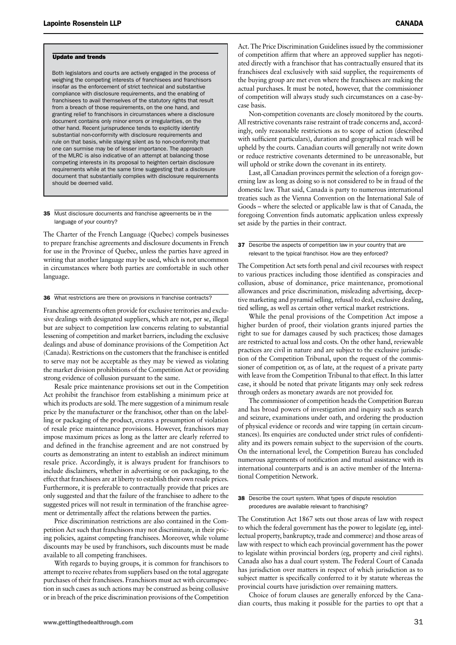#### Update and trends

Both legislators and courts are actively engaged in the process of weighing the competing interests of franchisees and franchisors insofar as the enforcement of strict technical and substantive compliance with disclosure requirements, and the enabling of franchisees to avail themselves of the statutory rights that result from a breach of those requirements, on the one hand, and granting relief to franchisors in circumstances where a disclosure document contains only minor errors or irregularities, on the other hand. Recent jurisprudence tends to explicitly identify substantial non-conformity with disclosure requirements and rule on that basis, while staying silent as to non-conformity that one can surmise may be of lesser importance. The approach of the MLRC is also indicative of an attempt at balancing those competing interests in its proposal to heighten certain disclosure requirements while at the same time suggesting that a disclosure document that substantially complies with disclosure requirements should be deemed valid.

#### 35 Must disclosure documents and franchise agreements be in the language of your country?

The Charter of the French Language (Quebec) compels businesses to prepare franchise agreements and disclosure documents in French for use in the Province of Quebec, unless the parties have agreed in writing that another language may be used, which is not uncommon in circumstances where both parties are comfortable in such other language.

#### 36 What restrictions are there on provisions in franchise contracts?

Franchise agreements often provide for exclusive territories and exclusive dealings with designated suppliers, which are not, per se, illegal but are subject to competition law concerns relating to substantial lessening of competition and market barriers, including the exclusive dealings and abuse of dominance provisions of the Competition Act (Canada). Restrictions on the customers that the franchisee is entitled to serve may not be acceptable as they may be viewed as violating the market division prohibitions of the Competition Act or providing strong evidence of collusion pursuant to the same.

Resale price maintenance provisions set out in the Competition Act prohibit the franchisor from establishing a minimum price at which its products are sold. The mere suggestion of a minimum resale price by the manufacturer or the franchisor, other than on the labelling or packaging of the product, creates a presumption of violation of resale price maintenance provisions. However, franchisors may impose maximum prices as long as the latter are clearly referred to and defined in the franchise agreement and are not construed by courts as demonstrating an intent to establish an indirect minimum resale price. Accordingly, it is always prudent for franchisors to include disclaimers, whether in advertising or on packaging, to the effect that franchisees are at liberty to establish their own resale prices. Furthermore, it is preferable to contractually provide that prices are only suggested and that the failure of the franchisee to adhere to the suggested prices will not result in termination of the franchise agreement or detrimentally affect the relations between the parties.

Price discrimination restrictions are also contained in the Competition Act such that franchisors may not discriminate, in their pricing policies, against competing franchisees. Moreover, while volume discounts may be used by franchisors, such discounts must be made available to all competing franchisees.

With regards to buying groups, it is common for franchisors to attempt to receive rebates from suppliers based on the total aggregate purchases of their franchisees. Franchisors must act with circumspection in such cases as such actions may be construed as being collusive or in breach of the price discrimination provisions of the Competition

Act. The Price Discrimination Guidelines issued by the commissioner of competition affirm that where an approved supplier has negotiated directly with a franchisor that has contractually ensured that its franchisees deal exclusively with said supplier, the requirements of the buying group are met even where the franchisees are making the actual purchases. It must be noted, however, that the commissioner of competition will always study such circumstances on a case-bycase basis.

Non-competition covenants are closely monitored by the courts. All restrictive covenants raise restraint of trade concerns and, accordingly, only reasonable restrictions as to scope of action (described with sufficient particulars), duration and geographical reach will be upheld by the courts. Canadian courts will generally not write down or reduce restrictive covenants determined to be unreasonable, but will uphold or strike down the covenant in its entirety.

Last, all Canadian provinces permit the selection of a foreign governing law as long as doing so is not considered to be in fraud of the domestic law. That said, Canada is party to numerous international treaties such as the Vienna Convention on the International Sale of Goods – where the selected or applicable law is that of Canada, the foregoing Convention finds automatic application unless expressly set aside by the parties in their contract.

37 Describe the aspects of competition law in your country that are relevant to the typical franchisor. How are they enforced?

The Competition Act sets forth penal and civil recourses with respect to various practices including those identified as conspiracies and collusion, abuse of dominance, price maintenance, promotional allowances and price discrimination, misleading advertising, deceptive marketing and pyramid selling, refusal to deal, exclusive dealing, tied selling, as well as certain other vertical market restrictions.

While the penal provisions of the Competition Act impose a higher burden of proof, their violation grants injured parties the right to sue for damages caused by such practices; those damages are restricted to actual loss and costs. On the other hand, reviewable practices are civil in nature and are subject to the exclusive jurisdiction of the Competition Tribunal, upon the request of the commissioner of competition or, as of late, at the request of a private party with leave from the Competition Tribunal to that effect. In this latter case, it should be noted that private litigants may only seek redress through orders as monetary awards are not provided for.

The commissioner of competition heads the Competition Bureau and has broad powers of investigation and inquiry such as search and seizure, examinations under oath, and ordering the production of physical evidence or records and wire tapping (in certain circumstances). Its enquiries are conducted under strict rules of confidentiality and its powers remain subject to the supervision of the courts. On the international level, the Competition Bureau has concluded numerous agreements of notification and mutual assistance with its international counterparts and is an active member of the International Competition Network.

38 Describe the court system. What types of dispute resolution procedures are available relevant to franchising?

The Constitution Act 1867 sets out those areas of law with respect to which the federal government has the power to legislate (eg, intellectual property, bankruptcy, trade and commerce) and those areas of law with respect to which each provincial government has the power to legislate within provincial borders (eg, property and civil rights). Canada also has a dual court system. The Federal Court of Canada has jurisdiction over matters in respect of which jurisdiction as to subject matter is specifically conferred to it by statute whereas the provincial courts have jurisdiction over remaining matters.

Choice of forum clauses are generally enforced by the Canadian courts, thus making it possible for the parties to opt that a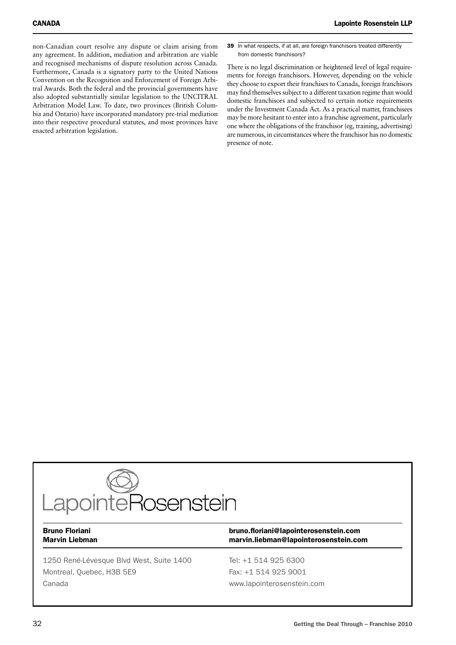non-Canadian court resolve any dispute or claim arising from any agreement. In addition, mediation and arbitration are viable and recognised mechanisms of dispute resolution across Canada. Furthermore, Canada is a signatory party to the United Nations Convention on the Recognition and Enforcement of Foreign Arbitral Awards. Both the federal and the provincial governments have also adopted substantially similar legislation to the UNCITRAL Arbitration Model Law. To date, two provinces (British Columbia and Ontario) have incorporated mandatory pre-trial mediation into their respective procedural statutes, and most provinces have enacted arbitration legislation.

39 In what respects, if at all, are foreign franchisors treated differently from domestic franchisors?

There is no legal discrimination or heightened level of legal requirements for foreign franchisors. However, depending on the vehicle they choose to export their franchises to Canada, foreign franchisors may find themselves subject to a different taxation regime than would domestic franchisors and subjected to certain notice requirements under the Investment Canada Act. As a practical matter, franchisees may be more hesitant to enter into a franchise agreement, particularly one where the obligations of the franchisor (eg, training, advertising) are numerous, in circumstances where the franchisor has no domestic presence of note.



1250 René-Lévesque Blvd West, Suite 1400 Tel: +1 514 925 6300 Montreal, Ouebec, H3B 5E9 Fax: +1 514 925 9001 Canada www.lapointerosenstein.com

### Bruno Floriani bruno.floriani@lapointerosenstein.com Marvin Liebman marvin.liebman@lapointerosenstein.com